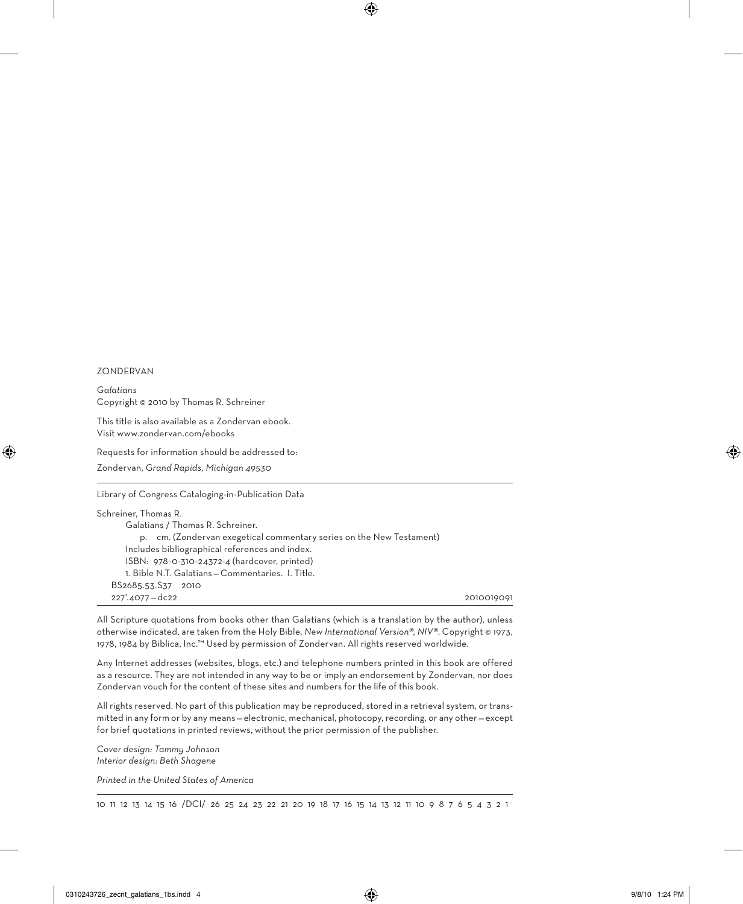#### ZONDERVAN

*Galatians* Copyright © 2010 by Thomas R. Schreiner

This title is also available as a Zondervan ebook. Visit www.zondervan.com/ebooks

Requests for information should be addressed to: Zondervan, *Grand Rapids, Michigan 49530*

Library of Congress Cataloging-in-Publication Data

| Schreiner, Thomas R.                                                 |            |
|----------------------------------------------------------------------|------------|
| Galatians / Thomas R. Schreiner.                                     |            |
| p. cm. (Zondervan exegetical commentary series on the New Testament) |            |
| Includes bibliographical references and index.                       |            |
| ISBN: 978-0-310-24372-4 (hardcover, printed)                         |            |
| 1. Bible N.T. Galatians - Commentaries. I. Title.                    |            |
| BS2685.53.S37 2010                                                   |            |
| 227.4077-dc22                                                        | 2010019091 |

All Scripture quotations from books other than Galatians (which is a translation by the author), unless otherwise indicated, are taken from the Holy Bible, *New International Version®, NIV®*. Copyright © 1973, 1978, 1984 by Biblica, Inc.™ Used by permission of Zondervan. All rights reserved worldwide.

Any Internet addresses (websites, blogs, etc.) and telephone numbers printed in this book are offered as a resource. They are not intended in any way to be or imply an endorsement by Zondervan, nor does Zondervan vouch for the content of these sites and numbers for the life of this book.

All rights reserved. No part of this publication may be reproduced, stored in a retrieval system, or transmitted in any form or by any means— electronic, mechanical, photocopy, recording, or any other— except for brief quotations in printed reviews, without the prior permission of the publisher.

*Cover design: Tammy Johnson Interior design: Beth Shagene*

*Printed in the United States of America*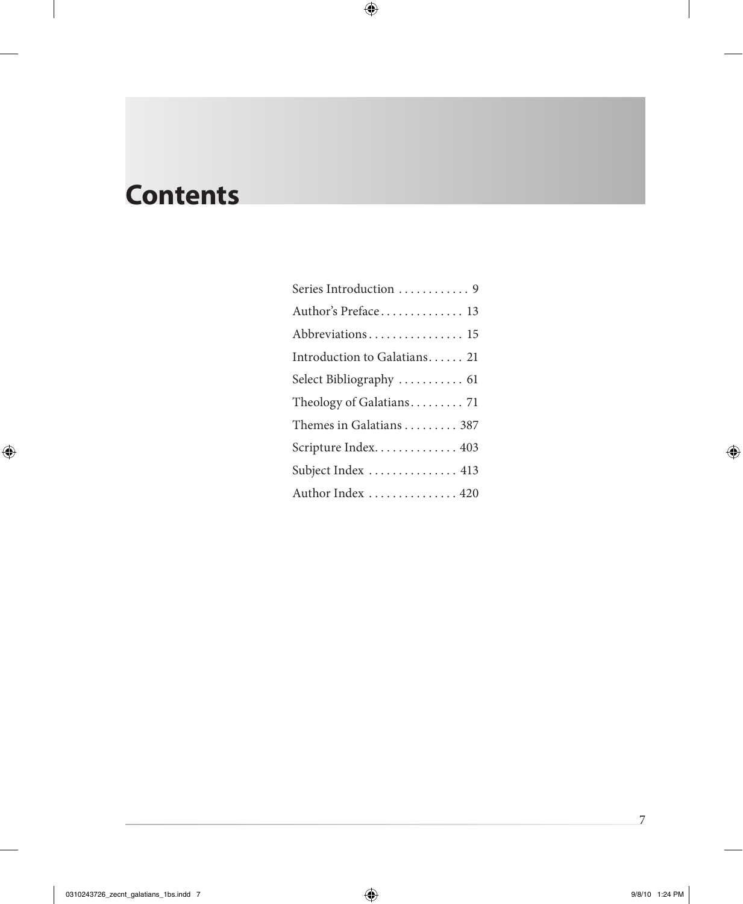# **Contents**

| Author's Preface 13          |
|------------------------------|
| Abbreviations 15             |
| Introduction to Galatians 21 |
| Select Bibliography  61      |
| Theology of Galatians 71     |
| Themes in Galatians 387      |
| Scripture Index. 403         |
| Subject Index  413           |
| Author Index  420            |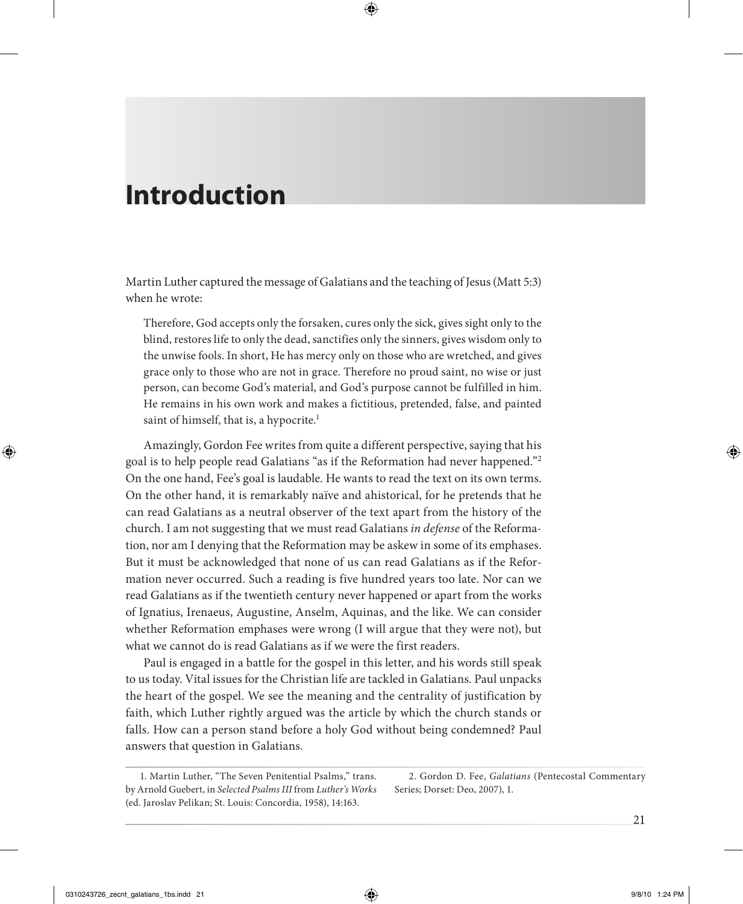## **Introduction**

Martin Luther captured the message of Galatians and the teaching of Jesus (Matt 5:3) when he wrote:

Therefore, God accepts only the forsaken, cures only the sick, gives sight only to the blind, restores life to only the dead, sanctifies only the sinners, gives wisdom only to the unwise fools. In short, He has mercy only on those who are wretched, and gives grace only to those who are not in grace. Therefore no proud saint, no wise or just person, can become God's material, and God's purpose cannot be fulfilled in him. He remains in his own work and makes a fictitious, pretended, false, and painted saint of himself, that is, a hypocrite. 1

Amazingly, Gordon Fee writes from quite a different perspective, saying that his goal is to help people read Galatians "as if the Reformation had never happened."2 On the one hand, Fee's goal is laudable. He wants to read the text on its own terms. On the other hand, it is remarkably naïve and ahistorical, for he pretends that he can read Galatians as a neutral observer of the text apart from the history of the church. I am not suggesting that we must read Galatians in defense of the Reformation, nor am I denying that the Reformation may be askew in some of its emphases. But it must be acknowledged that none of us can read Galatians as if the Reformation never occurred. Such a reading is five hundred years too late. Nor can we read Galatians as if the twentieth century never happened or apart from the works of Ignatius, Irenaeus, Augustine, Anselm, Aquinas, and the like. We can consider whether Reformation emphases were wrong (I will argue that they were not), but what we cannot do is read Galatians as if we were the first readers.

Paul is engaged in a battle for the gospel in this letter, and his words still speak to us today. Vital issues for the Christian life are tackled in Galatians. Paul unpacks the heart of the gospel. We see the meaning and the centrality of justification by faith, which Luther rightly argued was the article by which the church stands or falls. How can a person stand before a holy God without being condemned? Paul answers that question in Galatians.

2. Gordon D. Fee, Galatians (Pentecostal Commentary Series; Dorset: Deo, 2007), 1.

<sup>1.</sup> Martin Luther, "The Seven Penitential Psalms," trans. by Arnold Guebert, in Selected Psalms III from Luther's Works (ed. Jaroslav Pelikan; St. Louis: Concordia, 1958), 14:163.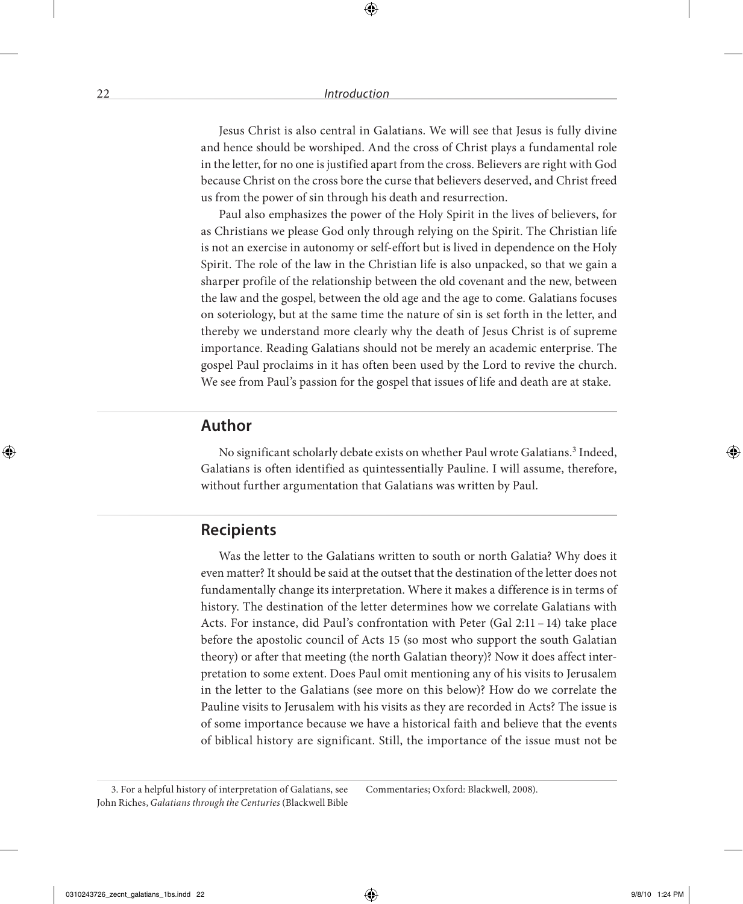Jesus Christ is also central in Galatians. We will see that Jesus is fully divine and hence should be worshiped. And the cross of Christ plays a fundamental role in the letter, for no one is justified apart from the cross. Believers are right with God because Christ on the cross bore the curse that believers deserved, and Christ freed us from the power of sin through his death and resurrection.

Paul also emphasizes the power of the Holy Spirit in the lives of believers, for as Christians we please God only through relying on the Spirit. The Christian life is not an exercise in autonomy or self-effort but is lived in dependence on the Holy Spirit. The role of the law in the Christian life is also unpacked, so that we gain a sharper profile of the relationship between the old covenant and the new, between the law and the gospel, between the old age and the age to come. Galatians focuses on soteriology, but at the same time the nature of sin is set forth in the letter, and thereby we understand more clearly why the death of Jesus Christ is of supreme importance. Reading Galatians should not be merely an academic enterprise. The gospel Paul proclaims in it has often been used by the Lord to revive the church. We see from Paul's passion for the gospel that issues of life and death are at stake.

#### **Author**

No significant scholarly debate exists on whether Paul wrote Galatians.<sup>3</sup> Indeed, Galatians is often identified as quintessentially Pauline. I will assume, therefore, without further argumentation that Galatians was written by Paul.

### **Recipients**

Was the letter to the Galatians written to south or north Galatia? Why does it even matter? It should be said at the outset that the destination of the letter does not fundamentally change its interpretation. Where it makes a difference is in terms of history. The destination of the letter determines how we correlate Galatians with Acts. For instance, did Paul's confrontation with Peter (Gal 2:11 – 14) take place before the apostolic council of Acts 15 (so most who support the south Galatian theory) or after that meeting (the north Galatian theory)? Now it does affect interpretation to some extent. Does Paul omit mentioning any of his visits to Jerusalem in the letter to the Galatians (see more on this below)? How do we correlate the Pauline visits to Jerusalem with his visits as they are recorded in Acts? The issue is of some importance because we have a historical faith and believe that the events of biblical history are significant. Still, the importance of the issue must not be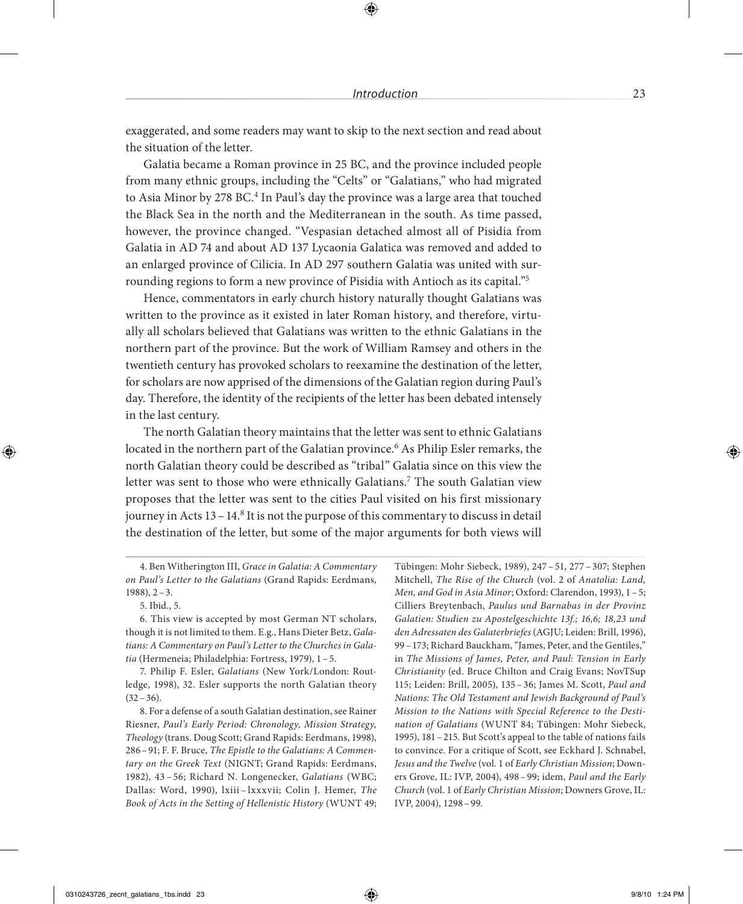exaggerated, and some readers may want to skip to the next section and read about the situation of the letter.

Galatia became a Roman province in 25 BC, and the province included people from many ethnic groups, including the "Celts" or "Galatians," who had migrated to Asia Minor by 278 BC.<sup>4</sup> In Paul's day the province was a large area that touched the Black Sea in the north and the Mediterranean in the south. As time passed, however, the province changed. "Vespasian detached almost all of Pisidia from Galatia in AD 74 and about AD 137 Lycaonia Galatica was removed and added to an enlarged province of Cilicia. In AD 297 southern Galatia was united with surrounding regions to form a new province of Pisidia with Antioch as its capital."5

Hence, commentators in early church history naturally thought Galatians was written to the province as it existed in later Roman history, and therefore, virtually all scholars believed that Galatians was written to the ethnic Galatians in the northern part of the province. But the work of William Ramsey and others in the twentieth century has provoked scholars to reexamine the destination of the letter, for scholars are now apprised of the dimensions of the Galatian region during Paul's day. Therefore, the identity of the recipients of the letter has been debated intensely in the last century.

The north Galatian theory maintains that the letter was sent to ethnic Galatians located in the northern part of the Galatian province. 6 As Philip Esler remarks, the north Galatian theory could be described as "tribal" Galatia since on this view the letter was sent to those who were ethnically Galatians. 7 The south Galatian view proposes that the letter was sent to the cities Paul visited on his first missionary journey in Acts 13 – 14.<sup>8</sup> It is not the purpose of this commentary to discuss in detail the destination of the letter, but some of the major arguments for both views will

4. Ben Witherington III, Grace in Galatia: A Commentary on Paul's Letter to the Galatians (Grand Rapids: Eerdmans,  $1988$ ,  $2-3$ .

5. Ibid., 5.

6. This view is accepted by most German NT scholars, though it is not limited to them. E.g., Hans Dieter Betz, Galatians: A Commentary on Paul's Letter to the Churches in Galatia (Hermeneia; Philadelphia: Fortress, 1979), 1–5.

7. Philip F. Esler, Galatians (New York/London: Routledge, 1998), 32. Esler supports the north Galatian theory  $(32-36)$ .

8. For a defense of a south Galatian destination, see Rainer Riesner, Paul's Early Period: Chronology, Mission Strategy, Theology (trans. Doug Scott; Grand Rapids: Eerdmans, 1998), 286–91; F. F. Bruce, The Epistle to the Galatians: A Commentary on the Greek Text (NIGNT; Grand Rapids: Eerdmans, 1982), 43 – 56; Richard N. Longenecker, Galatians (WBC; Dallas: Word, 1990), lxiii – lxxxvii; Colin J. Hemer, The Book of Acts in the Setting of Hellenistic History (WUNT 49;

Tübingen: Mohr Siebeck, 1989), 247 – 51, 277 – 307; Stephen Mitchell, The Rise of the Church (vol. 2 of Anatolia: Land, Men, and God in Asia Minor; Oxford: Clarendon, 1993), 1–5; Cilliers Breytenbach, Paulus und Barnabas in der Provinz Galatien: Studien zu Apostelgeschichte 13f.; 16,6; 18,23 und den Adressaten des Galaterbriefes (AGJU; Leiden: Brill, 1996), 99–173; Richard Bauckham, "James, Peter, and the Gentiles," in The Missions of James, Peter, and Paul: Tension in Early Christianity (ed. Bruce Chilton and Craig Evans; NovTSup 115; Leiden: Brill, 2005), 135 – 36; James M. Scott, Paul and Nations: The Old Testament and Jewish Background of Paul's Mission to the Nations with Special Reference to the Destination of Galatians (WUNT 84; Tübingen: Mohr Siebeck, 1995), 181–215. But Scott's appeal to the table of nations fails to convince. For a critique of Scott, see Eckhard J. Schnabel, Jesus and the Twelve (vol. 1 of Early Christian Mission; Downers Grove, IL: IVP, 2004), 498–99; idem, Paul and the Early Church (vol. 1 of Early Christian Mission; Downers Grove, IL: IVP, 2004), 1298–99.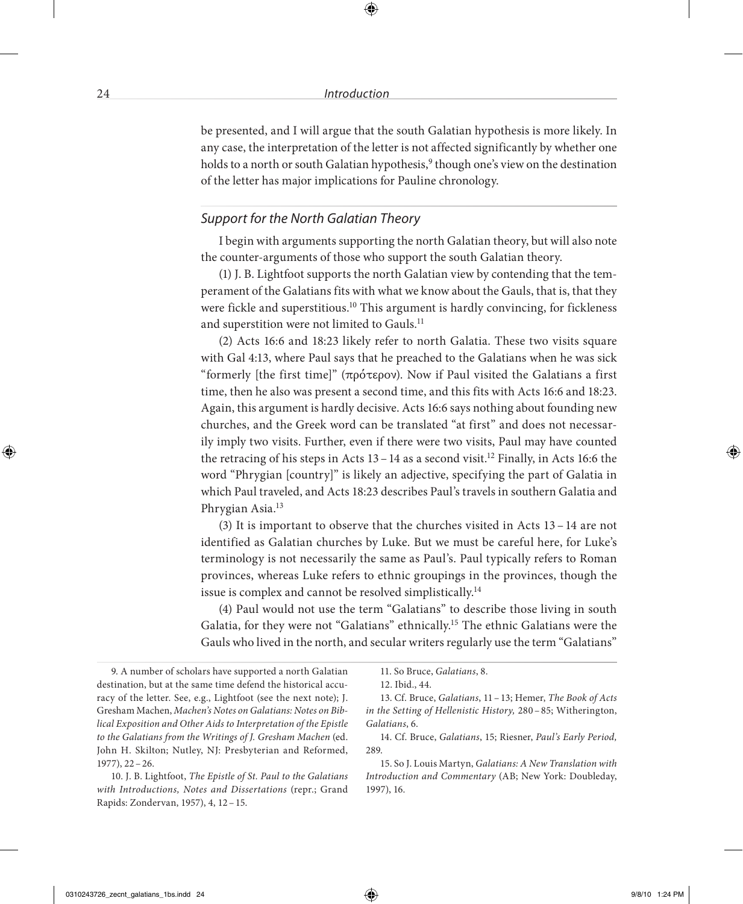be presented, and I will argue that the south Galatian hypothesis is more likely. In any case, the interpretation of the letter is not affected significantly by whether one holds to a north or south Galatian hypothesis,<sup>9</sup> though one's view on the destination of the letter has major implications for Pauline chronology.

### Support for the North Galatian Theory

I begin with arguments supporting the north Galatian theory, but will also note the counter-arguments of those who support the south Galatian theory.

(1) J. B. Lightfoot supports the north Galatian view by contending that the temperament of the Galatians fits with what we know about the Gauls, that is, that they were fickle and superstitious.<sup>10</sup> This argument is hardly convincing, for fickleness and superstition were not limited to Gauls.<sup>11</sup>

(2) Acts 16:6 and 18:23 likely refer to north Galatia. These two visits square with Gal 4:13, where Paul says that he preached to the Galatians when he was sick "formerly [the first time]"  $(\pi \rho \acute{o} \tau \epsilon \rho \acute{o} \nu)$ . Now if Paul visited the Galatians a first time, then he also was present a second time, and this fits with Acts 16:6 and 18:23. Again, this argument is hardly decisive. Acts 16:6 says nothing about founding new churches, and the Greek word can be translated "at first" and does not necessarily imply two visits. Further, even if there were two visits, Paul may have counted the retracing of his steps in Acts 13–14 as a second visit. 12 Finally, in Acts 16:6 the word "Phrygian [country]" is likely an adjective, specifying the part of Galatia in which Paul traveled, and Acts 18:23 describes Paul's travels in southern Galatia and Phrygian Asia. 13

(3) It is important to observe that the churches visited in Acts 13 – 14 are not identified as Galatian churches by Luke. But we must be careful here, for Luke's terminology is not necessarily the same as Paul's. Paul typically refers to Roman provinces, whereas Luke refers to ethnic groupings in the provinces, though the issue is complex and cannot be resolved simplistically.<sup>14</sup>

(4) Paul would not use the term "Galatians" to describe those living in south Galatia, for they were not "Galatians" ethnically. 15 The ethnic Galatians were the Gauls who lived in the north, and secular writers regularly use the term "Galatians"

9. A number of scholars have supported a north Galatian destination, but at the same time defend the historical accuracy of the letter. See, e.g., Lightfoot (see the next note); J. Gresham Machen, Machen's Notes on Galatians: Notes on Biblical Exposition and Other Aids to Interpretation of the Epistle to the Galatians from the Writings of J. Gresham Machen (ed. John H. Skilton; Nutley, NJ: Presbyterian and Reformed, 1977), 22–26.

10. J. B. Lightfoot, The Epistle of St. Paul to the Galatians with Introductions, Notes and Dissertations (repr.; Grand Rapids: Zondervan, 1957), 4, 12–15.

14. Cf. Bruce, Galatians, 15; Riesner, Paul's Early Period, 289.

15. So J. Louis Martyn, Galatians: A New Translation with Introduction and Commentary (AB; New York: Doubleday, 1997), 16.

<sup>11.</sup> So Bruce, Galatians, 8.

<sup>12.</sup> Ibid., 44.

<sup>13.</sup> Cf. Bruce, Galatians, 11–13; Hemer, The Book of Acts in the Setting of Hellenistic History, 280 – 85; Witherington, Galatians, 6.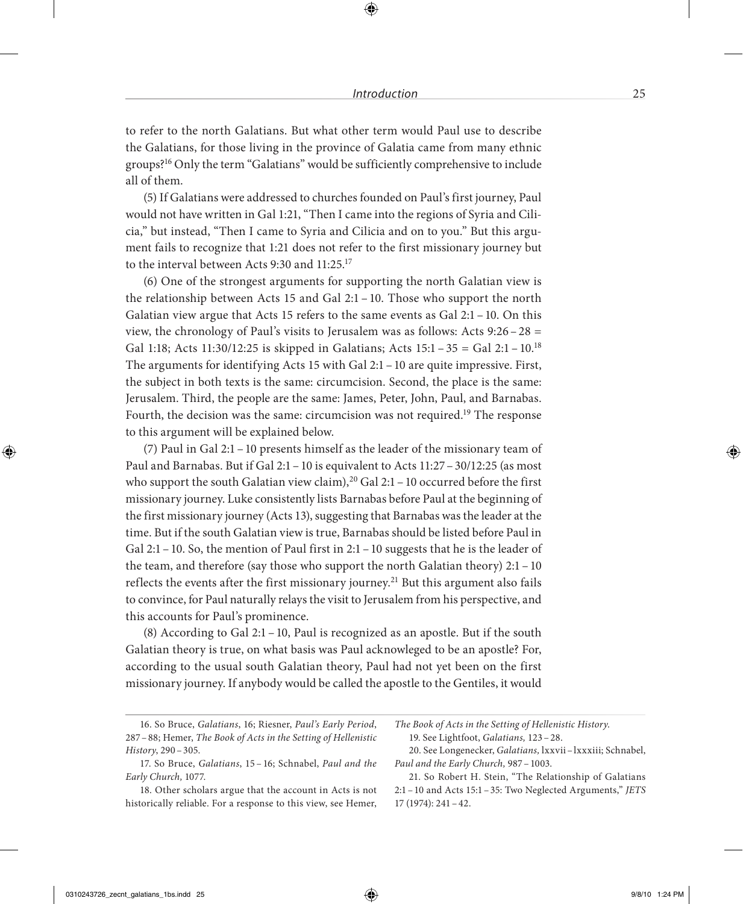to refer to the north Galatians. But what other term would Paul use to describe the Galatians, for those living in the province of Galatia came from many ethnic groups?16 Only the term "Galatians" would be sufficiently comprehensive to include all of them.

(5) If Galatians were addressed to churches founded on Paul's first journey, Paul would not have written in Gal 1:21, "Then I came into the regions of Syria and Cilicia," but instead, "Then I came to Syria and Cilicia and on to you." But this argument fails to recognize that 1:21 does not refer to the first missionary journey but to the interval between Acts 9:30 and 11:25. 17

(6) One of the strongest arguments for supporting the north Galatian view is the relationship between Acts 15 and Gal 2:1 – 10. Those who support the north Galatian view argue that Acts 15 refers to the same events as Gal 2:1–10. On this view, the chronology of Paul's visits to Jerusalem was as follows: Acts  $9:26 - 28 =$ Gal 1:18; Acts 11:30/12:25 is skipped in Galatians; Acts 15:1 - 35 = Gal 2:1 - 10.<sup>18</sup> The arguments for identifying Acts 15 with Gal 2:1–10 are quite impressive. First, the subject in both texts is the same: circumcision. Second, the place is the same: Jerusalem. Third, the people are the same: James, Peter, John, Paul, and Barnabas. Fourth, the decision was the same: circumcision was not required.<sup>19</sup> The response to this argument will be explained below.

(7) Paul in Gal 2:1–10 presents himself as the leader of the missionary team of Paul and Barnabas. But if Gal 2:1–10 is equivalent to Acts 11:27–30/12:25 (as most who support the south Galatian view claim),<sup>20</sup> Gal 2:1 – 10 occurred before the first missionary journey. Luke consistently lists Barnabas before Paul at the beginning of the first missionary journey (Acts 13), suggesting that Barnabas was the leader at the time. But if the south Galatian view is true, Barnabas should be listed before Paul in Gal  $2:1-10$ . So, the mention of Paul first in  $2:1-10$  suggests that he is the leader of the team, and therefore (say those who support the north Galatian theory)  $2:1 - 10$ reflects the events after the first missionary journey.<sup>21</sup> But this argument also fails to convince, for Paul naturally relays the visit to Jerusalem from his perspective, and this accounts for Paul's prominence.

(8) According to Gal 2:1–10, Paul is recognized as an apostle. But if the south Galatian theory is true, on what basis was Paul acknowleged to be an apostle? For, according to the usual south Galatian theory, Paul had not yet been on the first missionary journey. If anybody would be called the apostle to the Gentiles, it would

- 16. So Bruce, Galatians, 16; Riesner, Paul's Early Period, 287–88; Hemer, The Book of Acts in the Setting of Hellenistic History, 290–305.
- 17. So Bruce, Galatians, 15 16; Schnabel, Paul and the Early Church, 1077.
- 18. Other scholars argue that the account in Acts is not historically reliable. For a response to this view, see Hemer,

The Book of Acts in the Setting of Hellenistic History.

19. See Lightfoot, Galatians, 123–28.

20. See Longenecker, Galatians, lxxvii–lxxxiii; Schnabel, Paul and the Early Church, 987–1003.

21. So Robert H. Stein, "The Relationship of Galatians 2:1–10 and Acts 15:1–35: Two Neglected Arguments," JETS 17 (1974): 241–42.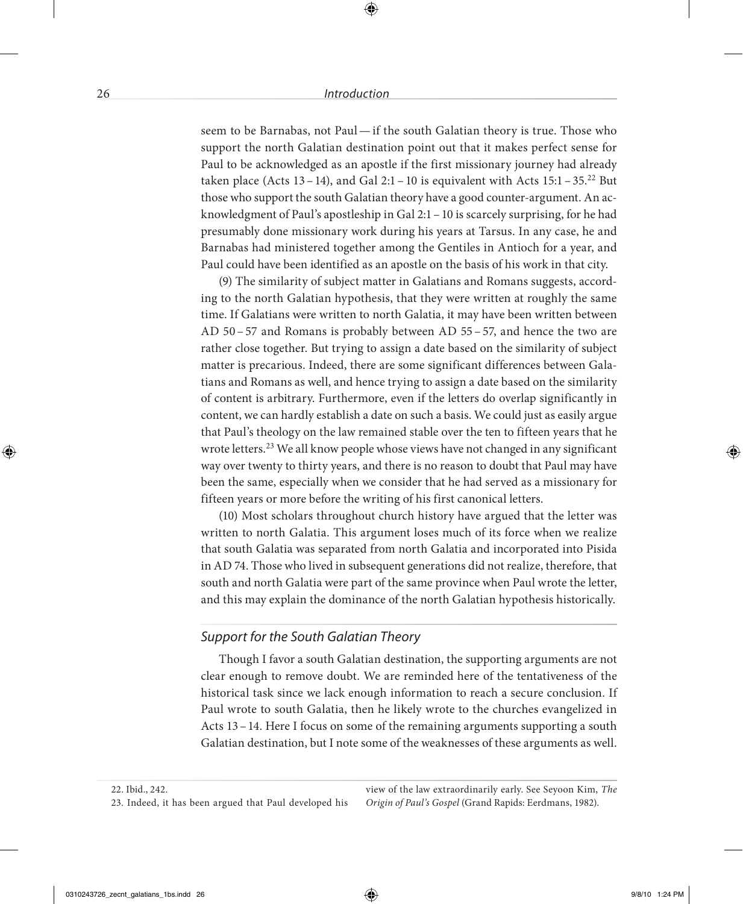seem to be Barnabas, not Paul— if the south Galatian theory is true. Those who support the north Galatian destination point out that it makes perfect sense for Paul to be acknowledged as an apostle if the first missionary journey had already taken place (Acts  $13 - 14$ ), and Gal  $2:1 - 10$  is equivalent with Acts  $15:1 - 35.22$  But those who support the south Galatian theory have a good counter-argument. An acknowledgment of Paul's apostleship in Gal  $2:1-10$  is scarcely surprising, for he had presumably done missionary work during his years at Tarsus. In any case, he and Barnabas had ministered together among the Gentiles in Antioch for a year, and Paul could have been identified as an apostle on the basis of his work in that city.

(9) The similarity of subject matter in Galatians and Romans suggests, according to the north Galatian hypothesis, that they were written at roughly the same time. If Galatians were written to north Galatia, it may have been written between AD 50 – 57 and Romans is probably between AD 55 – 57, and hence the two are rather close together. But trying to assign a date based on the similarity of subject matter is precarious. Indeed, there are some significant differences between Galatians and Romans as well, and hence trying to assign a date based on the similarity of content is arbitrary. Furthermore, even if the letters do overlap significantly in content, we can hardly establish a date on such a basis. We could just as easily argue that Paul's theology on the law remained stable over the ten to fifteen years that he wrote letters.<sup>23</sup> We all know people whose views have not changed in any significant way over twenty to thirty years, and there is no reason to doubt that Paul may have been the same, especially when we consider that he had served as a missionary for fifteen years or more before the writing of his first canonical letters.

(10) Most scholars throughout church history have argued that the letter was written to north Galatia. This argument loses much of its force when we realize that south Galatia was separated from north Galatia and incorporated into Pisida in AD 74. Those who lived in subsequent generations did not realize, therefore, that south and north Galatia were part of the same province when Paul wrote the letter, and this may explain the dominance of the north Galatian hypothesis historically.

#### Support for the South Galatian Theory

Though I favor a south Galatian destination, the supporting arguments are not clear enough to remove doubt. We are reminded here of the tentativeness of the historical task since we lack enough information to reach a secure conclusion. If Paul wrote to south Galatia, then he likely wrote to the churches evangelized in Acts 13–14. Here I focus on some of the remaining arguments supporting a south Galatian destination, but I note some of the weaknesses of these arguments as well.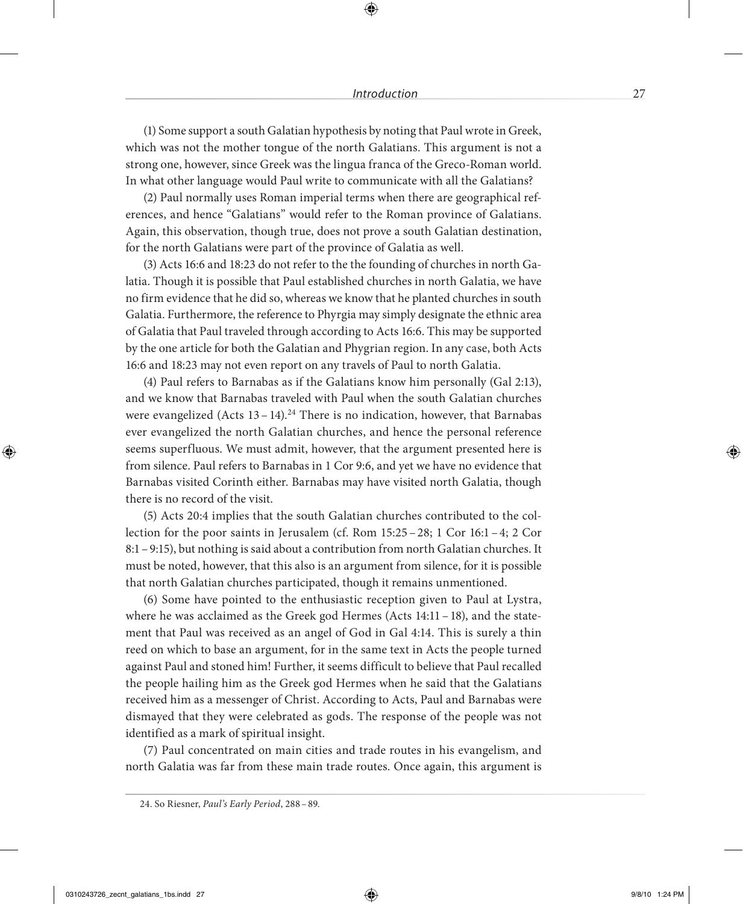(1) Some support a south Galatian hypothesis by noting that Paul wrote in Greek, which was not the mother tongue of the north Galatians. This argument is not a strong one, however, since Greek was the lingua franca of the Greco-Roman world. In what other language would Paul write to communicate with all the Galatians?

(2) Paul normally uses Roman imperial terms when there are geographical references, and hence "Galatians" would refer to the Roman province of Galatians. Again, this observation, though true, does not prove a south Galatian destination, for the north Galatians were part of the province of Galatia as well.

(3) Acts 16:6 and 18:23 do not refer to the the founding of churches in north Galatia. Though it is possible that Paul established churches in north Galatia, we have no firm evidence that he did so, whereas we know that he planted churches in south Galatia. Furthermore, the reference to Phyrgia may simply designate the ethnic area of Galatia that Paul traveled through according to Acts 16:6. This may be supported by the one article for both the Galatian and Phygrian region. In any case, both Acts 16:6 and 18:23 may not even report on any travels of Paul to north Galatia.

(4) Paul refers to Barnabas as if the Galatians know him personally (Gal 2:13), and we know that Barnabas traveled with Paul when the south Galatian churches were evangelized (Acts 13 – 14).<sup>24</sup> There is no indication, however, that Barnabas ever evangelized the north Galatian churches, and hence the personal reference seems superfluous. We must admit, however, that the argument presented here is from silence. Paul refers to Barnabas in 1 Cor 9:6, and yet we have no evidence that Barnabas visited Corinth either. Barnabas may have visited north Galatia, though there is no record of the visit.

(5) Acts 20:4 implies that the south Galatian churches contributed to the collection for the poor saints in Jerusalem (cf. Rom 15:25 – 28; 1 Cor 16:1 – 4; 2 Cor 8:1–9:15), but nothing is said about a contribution from north Galatian churches. It must be noted, however, that this also is an argument from silence, for it is possible that north Galatian churches participated, though it remains unmentioned.

(6) Some have pointed to the enthusiastic reception given to Paul at Lystra, where he was acclaimed as the Greek god Hermes (Acts 14:11–18), and the statement that Paul was received as an angel of God in Gal 4:14. This is surely a thin reed on which to base an argument, for in the same text in Acts the people turned against Paul and stoned him! Further, it seems difficult to believe that Paul recalled the people hailing him as the Greek god Hermes when he said that the Galatians received him as a messenger of Christ. According to Acts, Paul and Barnabas were dismayed that they were celebrated as gods. The response of the people was not identified as a mark of spiritual insight.

(7) Paul concentrated on main cities and trade routes in his evangelism, and north Galatia was far from these main trade routes. Once again, this argument is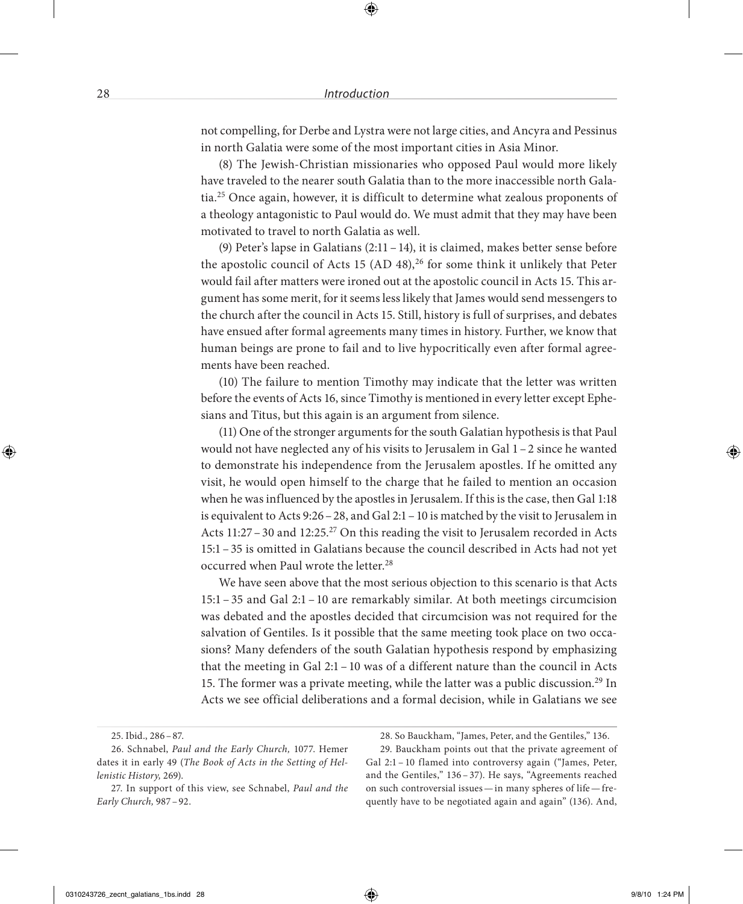not compelling, for Derbe and Lystra were not large cities, and Ancyra and Pessinus in north Galatia were some of the most important cities in Asia Minor.

(8) The Jewish-Christian missionaries who opposed Paul would more likely have traveled to the nearer south Galatia than to the more inaccessible north Galatia. 25 Once again, however, it is difficult to determine what zealous proponents of a theology antagonistic to Paul would do. We must admit that they may have been motivated to travel to north Galatia as well.

(9) Peter's lapse in Galatians (2:11–14), it is claimed, makes better sense before the apostolic council of Acts 15 (AD 48),<sup>26</sup> for some think it unlikely that Peter would fail after matters were ironed out at the apostolic council in Acts 15. This argument has some merit, for it seems less likely that James would send messengers to the church after the council in Acts 15. Still, history is full of surprises, and debates have ensued after formal agreements many times in history. Further, we know that human beings are prone to fail and to live hypocritically even after formal agreements have been reached.

(10) The failure to mention Timothy may indicate that the letter was written before the events of Acts 16, since Timothy is mentioned in every letter except Ephesians and Titus, but this again is an argument from silence.

(11) One of the stronger arguments for the south Galatian hypothesis is that Paul would not have neglected any of his visits to Jerusalem in Gal  $1 - 2$  since he wanted to demonstrate his independence from the Jerusalem apostles. If he omitted any visit, he would open himself to the charge that he failed to mention an occasion when he was influenced by the apostles in Jerusalem. If this is the case, then Gal 1:18 is equivalent to Acts 9:26–28, and Gal 2:1–10 is matched by the visit to Jerusalem in Acts 11:27 - 30 and 12:25.<sup>27</sup> On this reading the visit to Jerusalem recorded in Acts 15:1–35 is omitted in Galatians because the council described in Acts had not yet occurred when Paul wrote the letter. 28

We have seen above that the most serious objection to this scenario is that Acts 15:1 – 35 and Gal 2:1 – 10 are remarkably similar. At both meetings circumcision was debated and the apostles decided that circumcision was not required for the salvation of Gentiles. Is it possible that the same meeting took place on two occasions? Many defenders of the south Galatian hypothesis respond by emphasizing that the meeting in Gal  $2:1-10$  was of a different nature than the council in Acts 15. The former was a private meeting, while the latter was a public discussion. 29 In Acts we see official deliberations and a formal decision, while in Galatians we see

29. Bauckham points out that the private agreement of Gal 2:1 – 10 flamed into controversy again ("James, Peter, and the Gentiles," 136-37). He says, "Agreements reached on such controversial issues— in many spheres of life— frequently have to be negotiated again and again" (136). And,

<sup>25.</sup> Ibid., 286–87.

<sup>26.</sup> Schnabel, Paul and the Early Church, 1077. Hemer dates it in early 49 (The Book of Acts in the Setting of Hellenistic History, 269).

<sup>27.</sup> In support of this view, see Schnabel, Paul and the Early Church, 987–92.

<sup>28.</sup> So Bauckham, "James, Peter, and the Gentiles," 136.